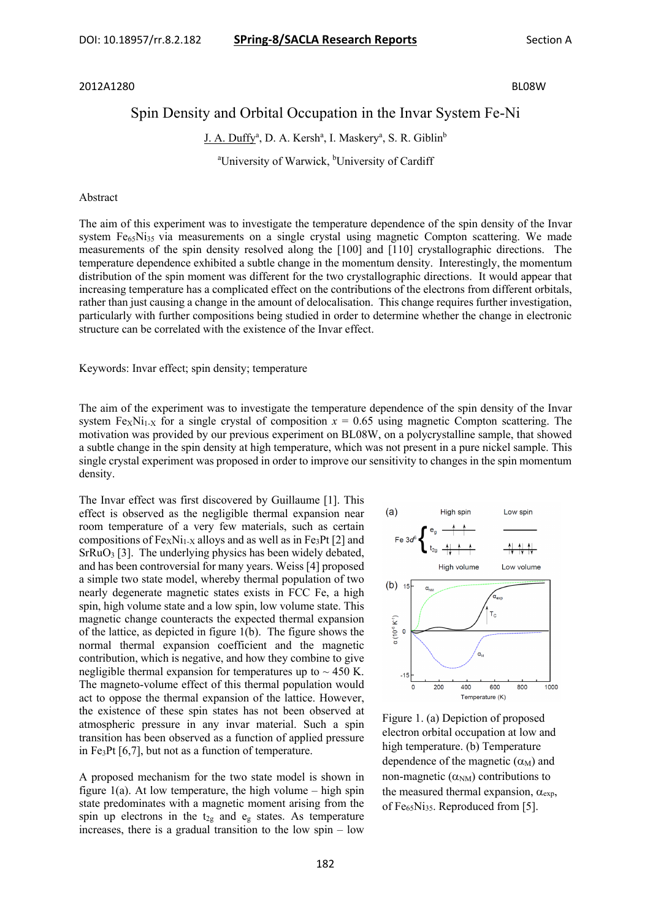## 2012A1280 BL08W

# Spin Density and Orbital Occupation in the Invar System Fe-Ni

J. A. Duffy<sup>a</sup>, D. A. Kersh<sup>a</sup>, I. Maskery<sup>a</sup>, S. R. Giblin<sup>b</sup>

<sup>a</sup>University of Warwick, <sup>b</sup>University of Cardiff

#### Abstract

The aim of this experiment was to investigate the temperature dependence of the spin density of the Invar system  $Fe<sub>65</sub>Ni<sub>35</sub>$  via measurements on a single crystal using magnetic Compton scattering. We made measurements of the spin density resolved along the [100] and [110] crystallographic directions. The temperature dependence exhibited a subtle change in the momentum density. Interestingly, the momentum distribution of the spin moment was different for the two crystallographic directions. It would appear that increasing temperature has a complicated effect on the contributions of the electrons from different orbitals, rather than just causing a change in the amount of delocalisation. This change requires further investigation, particularly with further compositions being studied in order to determine whether the change in electronic structure can be correlated with the existence of the Invar effect.

## Keywords: Invar effect; spin density; temperature

The aim of the experiment was to investigate the temperature dependence of the spin density of the Invar system Fe<sub>X</sub>Ni<sub>1-X</sub> for a single crystal of composition  $x = 0.65$  using magnetic Compton scattering. The motivation was provided by our previous experiment on BL08W, on a polycrystalline sample, that showed a subtle change in the spin density at high temperature, which was not present in a pure nickel sample. This single crystal experiment was proposed in order to improve our sensitivity to changes in the spin momentum density.

The Invar effect was first discovered by Guillaume [1]. This effect is observed as the negligible thermal expansion near room temperature of a very few materials, such as certain compositions of  $FexNi<sub>1-X</sub>$  alloys and as well as in  $Fe<sub>3</sub>Pt$  [2] and SrRuO<sub>3</sub> [3]. The underlying physics has been widely debated, and has been controversial for many years. Weiss [4] proposed a simple two state model, whereby thermal population of two nearly degenerate magnetic states exists in FCC Fe, a high spin, high volume state and a low spin, low volume state. This magnetic change counteracts the expected thermal expansion of the lattice, as depicted in figure 1(b). The figure shows the normal thermal expansion coefficient and the magnetic contribution, which is negative, and how they combine to give negligible thermal expansion for temperatures up to  $\sim$  450 K. The magneto-volume effect of this thermal population would act to oppose the thermal expansion of the lattice. However, the existence of these spin states has not been observed at atmospheric pressure in any invar material. Such a spin transition has been observed as a function of applied pressure in Fe3Pt [6,7], but not as a function of temperature.

A proposed mechanism for the two state model is shown in figure  $1(a)$ . At low temperature, the high volume – high spin state predominates with a magnetic moment arising from the spin up electrons in the  $t_{2g}$  and  $e_g$  states. As temperature increases, there is a gradual transition to the low spin – low



Figure 1. (a) Depiction of proposed electron orbital occupation at low and high temperature. (b) Temperature dependence of the magnetic  $(\alpha_M)$  and non-magnetic  $(\alpha_{NM})$  contributions to the measured thermal expansion,  $\alpha_{\text{exp}}$ , of Fe65Ni35. Reproduced from [5].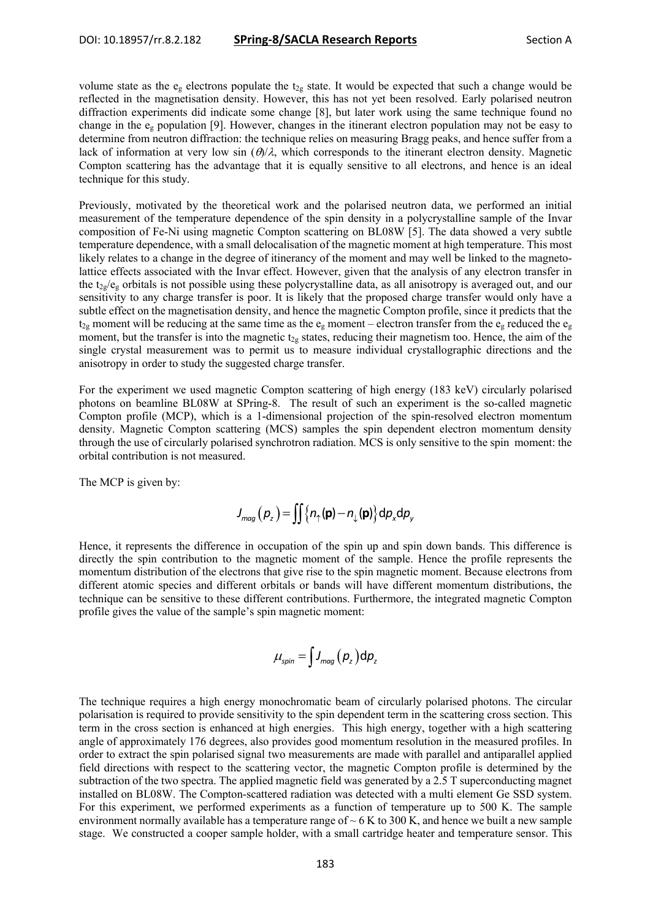volume state as the  $e_g$  electrons populate the  $t_{2g}$  state. It would be expected that such a change would be reflected in the magnetisation density. However, this has not yet been resolved. Early polarised neutron diffraction experiments did indicate some change [8], but later work using the same technique found no change in the  $e_g$  population [9]. However, changes in the itinerant electron population may not be easy to determine from neutron diffraction: the technique relies on measuring Bragg peaks, and hence suffer from a lack of information at very low sin  $(\theta/\lambda)$ , which corresponds to the itinerant electron density. Magnetic Compton scattering has the advantage that it is equally sensitive to all electrons, and hence is an ideal technique for this study.

Previously, motivated by the theoretical work and the polarised neutron data, we performed an initial measurement of the temperature dependence of the spin density in a polycrystalline sample of the Invar composition of Fe-Ni using magnetic Compton scattering on BL08W [5]. The data showed a very subtle temperature dependence, with a small delocalisation of the magnetic moment at high temperature. This most likely relates to a change in the degree of itinerancy of the moment and may well be linked to the magnetolattice effects associated with the Invar effect. However, given that the analysis of any electron transfer in the t<sub>2g</sub>/ $e_g$  orbitals is not possible using these polycrystalline data, as all anisotropy is averaged out, and our sensitivity to any charge transfer is poor. It is likely that the proposed charge transfer would only have a subtle effect on the magnetisation density, and hence the magnetic Compton profile, since it predicts that the  $t_{2g}$  moment will be reducing at the same time as the  $e_g$  moment – electron transfer from the  $e_g$  reduced the  $e_g$ moment, but the transfer is into the magnetic  $t_{2g}$  states, reducing their magnetism too. Hence, the aim of the single crystal measurement was to permit us to measure individual crystallographic directions and the anisotropy in order to study the suggested charge transfer.

For the experiment we used magnetic Compton scattering of high energy (183 keV) circularly polarised photons on beamline BL08W at SPring-8. The result of such an experiment is the so-called magnetic Compton profile (MCP), which is a 1-dimensional projection of the spin-resolved electron momentum density. Magnetic Compton scattering (MCS) samples the spin dependent electron momentum density through the use of circularly polarised synchrotron radiation. MCS is only sensitive to the spin moment: the orbital contribution is not measured.

The MCP is given by:

$$
J_{mag}(p_z) = \iint \{ n_{\uparrow}(\mathbf{p}) - n_{\downarrow}(\mathbf{p}) \} d\rho_x d\rho_y
$$

Hence, it represents the difference in occupation of the spin up and spin down bands. This difference is directly the spin contribution to the magnetic moment of the sample. Hence the profile represents the momentum distribution of the electrons that give rise to the spin magnetic moment. Because electrons from different atomic species and different orbitals or bands will have different momentum distributions, the technique can be sensitive to these different contributions. Furthermore, the integrated magnetic Compton profile gives the value of the sample's spin magnetic moment:

$$
\mu_{spin} = \int J_{mag} (p_z) \mathrm{d}p_z
$$

The technique requires a high energy monochromatic beam of circularly polarised photons. The circular polarisation is required to provide sensitivity to the spin dependent term in the scattering cross section. This term in the cross section is enhanced at high energies. This high energy, together with a high scattering angle of approximately 176 degrees, also provides good momentum resolution in the measured profiles. In order to extract the spin polarised signal two measurements are made with parallel and antiparallel applied field directions with respect to the scattering vector, the magnetic Compton profile is determined by the subtraction of the two spectra. The applied magnetic field was generated by a 2.5 T superconducting magnet installed on BL08W. The Compton-scattered radiation was detected with a multi element Ge SSD system. For this experiment, we performed experiments as a function of temperature up to 500 K. The sample environment normally available has a temperature range of  $\sim$  6 K to 300 K, and hence we built a new sample stage. We constructed a cooper sample holder, with a small cartridge heater and temperature sensor. This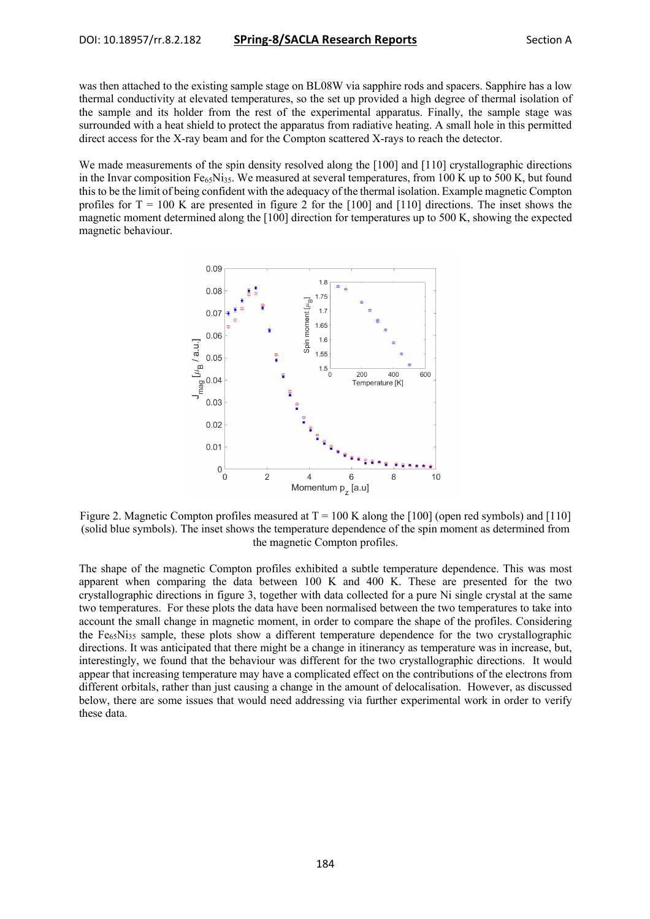was then attached to the existing sample stage on BL08W via sapphire rods and spacers. Sapphire has a low thermal conductivity at elevated temperatures, so the set up provided a high degree of thermal isolation of the sample and its holder from the rest of the experimental apparatus. Finally, the sample stage was surrounded with a heat shield to protect the apparatus from radiative heating. A small hole in this permitted direct access for the X-ray beam and for the Compton scattered X-rays to reach the detector.

We made measurements of the spin density resolved along the [100] and [110] crystallographic directions in the Invar composition  $Fe<sub>65</sub>Ni<sub>35</sub>$ . We measured at several temperatures, from 100 K up to 500 K, but found this to be the limit of being confident with the adequacy of the thermal isolation. Example magnetic Compton profiles for  $T = 100$  K are presented in figure 2 for the [100] and [110] directions. The inset shows the magnetic moment determined along the [100] direction for temperatures up to 500 K, showing the expected magnetic behaviour.



Figure 2. Magnetic Compton profiles measured at  $T = 100$  K along the [100] (open red symbols) and [110] (solid blue symbols). The inset shows the temperature dependence of the spin moment as determined from the magnetic Compton profiles.

The shape of the magnetic Compton profiles exhibited a subtle temperature dependence. This was most apparent when comparing the data between 100 K and 400 K. These are presented for the two crystallographic directions in figure 3, together with data collected for a pure Ni single crystal at the same two temperatures. For these plots the data have been normalised between the two temperatures to take into account the small change in magnetic moment, in order to compare the shape of the profiles. Considering the  $Fe<sub>65</sub>Ni<sub>35</sub>$  sample, these plots show a different temperature dependence for the two crystallographic directions. It was anticipated that there might be a change in itinerancy as temperature was in increase, but, interestingly, we found that the behaviour was different for the two crystallographic directions. It would appear that increasing temperature may have a complicated effect on the contributions of the electrons from different orbitals, rather than just causing a change in the amount of delocalisation. However, as discussed below, there are some issues that would need addressing via further experimental work in order to verify these data.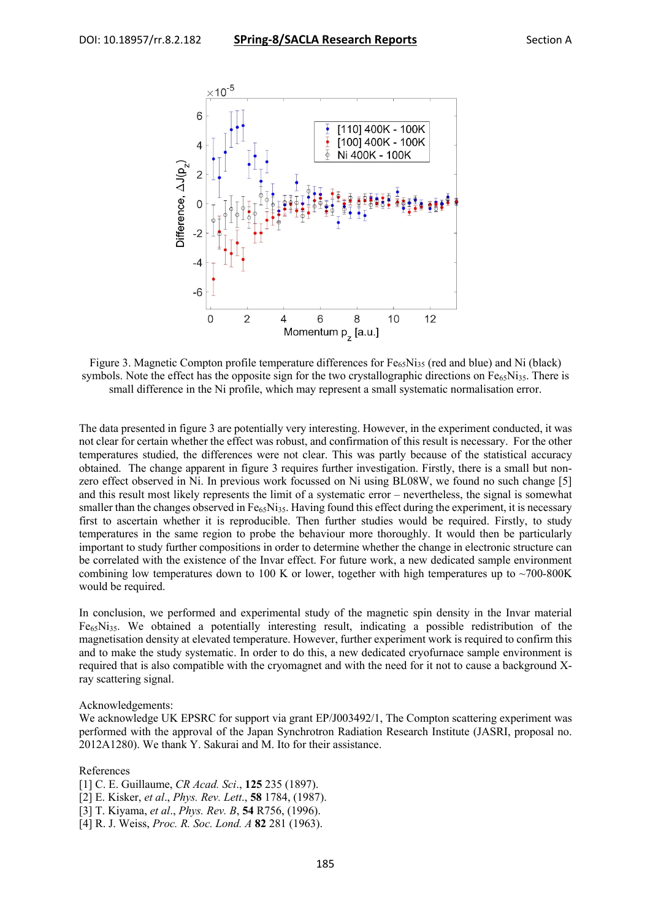

Figure 3. Magnetic Compton profile temperature differences for  $Fe<sub>65</sub>Ni<sub>35</sub>$  (red and blue) and Ni (black) symbols. Note the effect has the opposite sign for the two crystallographic directions on  $Fe<sub>65</sub>Ni<sub>35</sub>$ . There is small difference in the Ni profile, which may represent a small systematic normalisation error.

The data presented in figure 3 are potentially very interesting. However, in the experiment conducted, it was not clear for certain whether the effect was robust, and confirmation of this result is necessary. For the other temperatures studied, the differences were not clear. This was partly because of the statistical accuracy obtained. The change apparent in figure 3 requires further investigation. Firstly, there is a small but nonzero effect observed in Ni. In previous work focussed on Ni using BL08W, we found no such change [5] and this result most likely represents the limit of a systematic error – nevertheless, the signal is somewhat smaller than the changes observed in Fe<sub>65</sub>Ni<sub>35</sub>. Having found this effect during the experiment, it is necessary first to ascertain whether it is reproducible. Then further studies would be required. Firstly, to study temperatures in the same region to probe the behaviour more thoroughly. It would then be particularly important to study further compositions in order to determine whether the change in electronic structure can be correlated with the existence of the Invar effect. For future work, a new dedicated sample environment combining low temperatures down to 100 K or lower, together with high temperatures up to  $\sim$ 700-800K would be required.

In conclusion, we performed and experimental study of the magnetic spin density in the Invar material Fe65Ni35. We obtained a potentially interesting result, indicating a possible redistribution of the magnetisation density at elevated temperature. However, further experiment work is required to confirm this and to make the study systematic. In order to do this, a new dedicated cryofurnace sample environment is required that is also compatible with the cryomagnet and with the need for it not to cause a background Xray scattering signal.

#### Acknowledgements:

We acknowledge UK EPSRC for support via grant EP/J003492/1, The Compton scattering experiment was performed with the approval of the Japan Synchrotron Radiation Research Institute (JASRI, proposal no. 2012A1280). We thank Y. Sakurai and M. Ito for their assistance.

### References

- [1] C. E. Guillaume, *CR Acad. Sci*., **125** 235 (1897).
- [2] E. Kisker, *et al*., *Phys. Rev. Lett*., **58** 1784, (1987).
- [3] T. Kiyama, *et al*., *Phys. Rev. B*, **54** R756, (1996).
- [4] R. J. Weiss, *Proc. R. Soc. Lond. A* **82** 281 (1963).